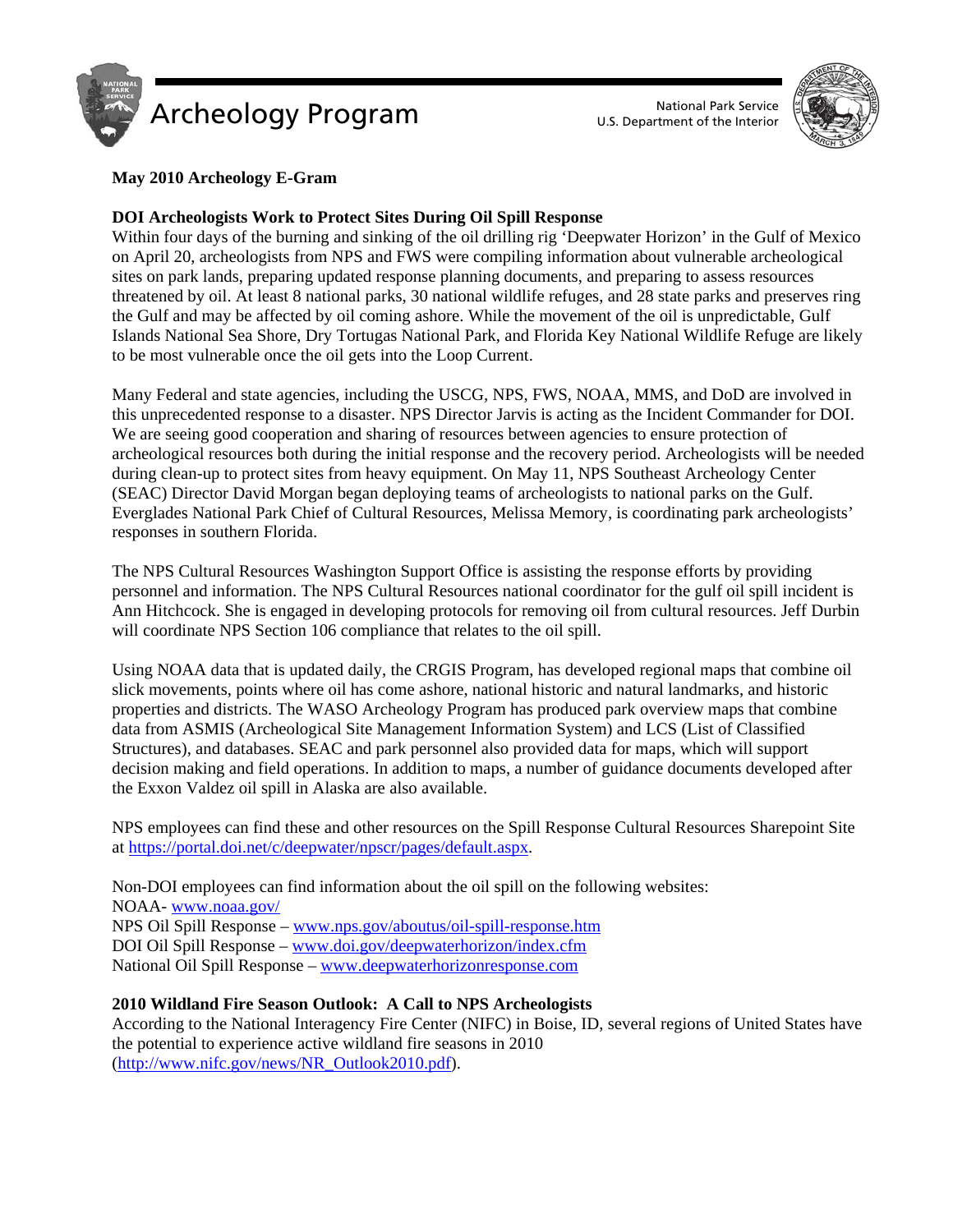



## **May 2010 Archeology E-Gram**

## **DOI Archeologists Work to Protect Sites During Oil Spill Response**

Within four days of the burning and sinking of the oil drilling rig 'Deepwater Horizon' in the Gulf of Mexico on April 20, archeologists from NPS and FWS were compiling information about vulnerable archeological sites on park lands, preparing updated response planning documents, and preparing to assess resources threatened by oil. At least 8 national parks, 30 national wildlife refuges, and 28 state parks and preserves ring the Gulf and may be affected by oil coming ashore. While the movement of the oil is unpredictable, Gulf Islands National Sea Shore, Dry Tortugas National Park, and Florida Key National Wildlife Refuge are likely to be most vulnerable once the oil gets into the Loop Current.

Many Federal and state agencies, including the USCG, NPS, FWS, NOAA, MMS, and DoD are involved in this unprecedented response to a disaster. NPS Director Jarvis is acting as the Incident Commander for DOI. We are seeing good cooperation and sharing of resources between agencies to ensure protection of archeological resources both during the initial response and the recovery period. Archeologists will be needed during clean-up to protect sites from heavy equipment. On May 11, NPS Southeast Archeology Center (SEAC) Director David Morgan began deploying teams of archeologists to national parks on the Gulf. Everglades National Park Chief of Cultural Resources, Melissa Memory, is coordinating park archeologists' responses in southern Florida.

The NPS Cultural Resources Washington Support Office is assisting the response efforts by providing personnel and information. The NPS Cultural Resources national coordinator for the gulf oil spill incident is Ann Hitchcock. She is engaged in developing protocols for removing oil from cultural resources. Jeff Durbin will coordinate NPS Section 106 compliance that relates to the oil spill.

Using NOAA data that is updated daily, the CRGIS Program, has developed regional maps that combine oil slick movements, points where oil has come ashore, national historic and natural landmarks, and historic properties and districts. The WASO Archeology Program has produced park overview maps that combine data from ASMIS (Archeological Site Management Information System) and LCS (List of Classified Structures), and databases. SEAC and park personnel also provided data for maps, which will support decision making and field operations. In addition to maps, a number of guidance documents developed after the Exxon Valdez oil spill in Alaska are also available.

NPS employees can find these and other resources on the Spill Response Cultural Resources Sharepoint Site at https://portal.doi.net/c/deepwater/npscr/pages/default.aspx.

Non-DOI employees can find information about the oil spill on the following websites: NOAA- www.noaa.gov/ NPS Oil Spill Response – www.nps.gov/aboutus/oil-spill-response.htm DOI Oil Spill Response – www.doi.gov/deepwaterhorizon/index.cfm National Oil Spill Response – www.deepwaterhorizonresponse.com

**2010 Wildland Fire Season Outlook: A Call to NPS Archeologists** 

According to the National Interagency Fire Center (NIFC) in Boise, ID, several regions of United States have the potential to experience active wildland fire seasons in 2010 (http://www.nifc.gov/news/NR\_Outlook2010.pdf).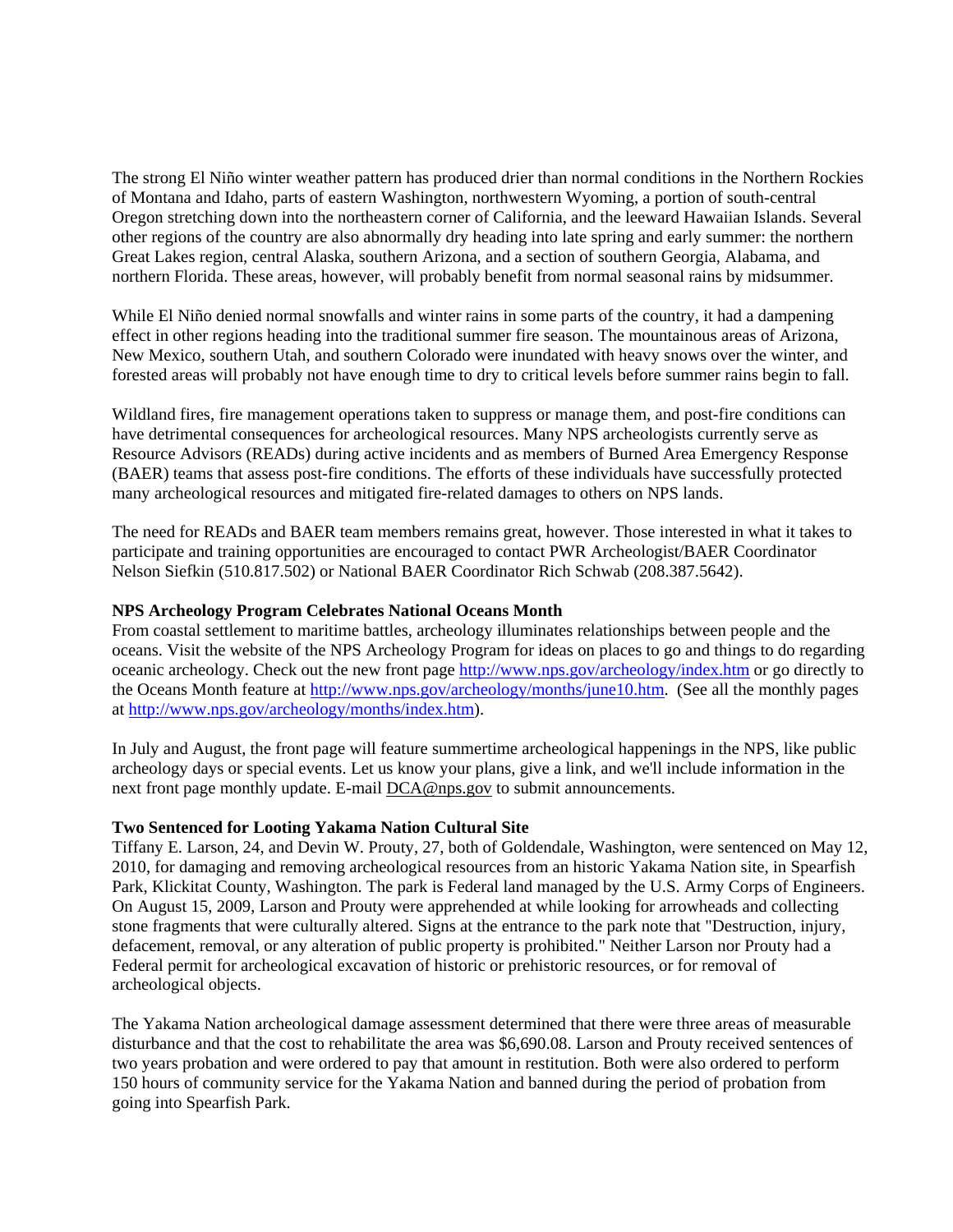The strong El Niño winter weather pattern has produced drier than normal conditions in the Northern Rockies of Montana and Idaho, parts of eastern Washington, northwestern Wyoming, a portion of south-central Oregon stretching down into the northeastern corner of California, and the leeward Hawaiian Islands. Several other regions of the country are also abnormally dry heading into late spring and early summer: the northern Great Lakes region, central Alaska, southern Arizona, and a section of southern Georgia, Alabama, and northern Florida. These areas, however, will probably benefit from normal seasonal rains by midsummer.

While El Niño denied normal snowfalls and winter rains in some parts of the country, it had a dampening effect in other regions heading into the traditional summer fire season. The mountainous areas of Arizona, New Mexico, southern Utah, and southern Colorado were inundated with heavy snows over the winter, and forested areas will probably not have enough time to dry to critical levels before summer rains begin to fall.

Wildland fires, fire management operations taken to suppress or manage them, and post-fire conditions can have detrimental consequences for archeological resources. Many NPS archeologists currently serve as Resource Advisors (READs) during active incidents and as members of Burned Area Emergency Response (BAER) teams that assess post-fire conditions. The efforts of these individuals have successfully protected many archeological resources and mitigated fire-related damages to others on NPS lands.

The need for READs and BAER team members remains great, however. Those interested in what it takes to participate and training opportunities are encouraged to contact PWR Archeologist/BAER Coordinator Nelson Siefkin (510.817.502) or National BAER Coordinator Rich Schwab (208.387.5642).

### **NPS Archeology Program Celebrates National Oceans Month**

From coastal settlement to maritime battles, archeology illuminates relationships between people and the oceans. Visit the website of the NPS Archeology Program for ideas on places to go and things to do regarding oceanic archeology. Check out the new front page http://www.nps.gov/archeology/index.htm or go directly to the Oceans Month feature at http://www.nps.gov/archeology/months/june10.htm. (See all the monthly pages at http://www.nps.gov/archeology/months/index.htm).

In July and August, the front page will feature summertime archeological happenings in the NPS, like public archeology days or special events. Let us know your plans, give a link, and we'll include information in the next front page monthly update. E-mail DCA@nps.gov to submit announcements.

### **Two Sentenced for Looting Yakama Nation Cultural Site**

Tiffany E. Larson, 24, and Devin W. Prouty, 27, both of Goldendale, Washington, were sentenced on May 12, 2010, for damaging and removing archeological resources from an historic Yakama Nation site, in Spearfish Park, Klickitat County, Washington. The park is Federal land managed by the U.S. Army Corps of Engineers. On August 15, 2009, Larson and Prouty were apprehended at while looking for arrowheads and collecting stone fragments that were culturally altered. Signs at the entrance to the park note that "Destruction, injury, defacement, removal, or any alteration of public property is prohibited." Neither Larson nor Prouty had a Federal permit for archeological excavation of historic or prehistoric resources, or for removal of archeological objects.

The Yakama Nation archeological damage assessment determined that there were three areas of measurable disturbance and that the cost to rehabilitate the area was \$6,690.08. Larson and Prouty received sentences of two years probation and were ordered to pay that amount in restitution. Both were also ordered to perform 150 hours of community service for the Yakama Nation and banned during the period of probation from going into Spearfish Park.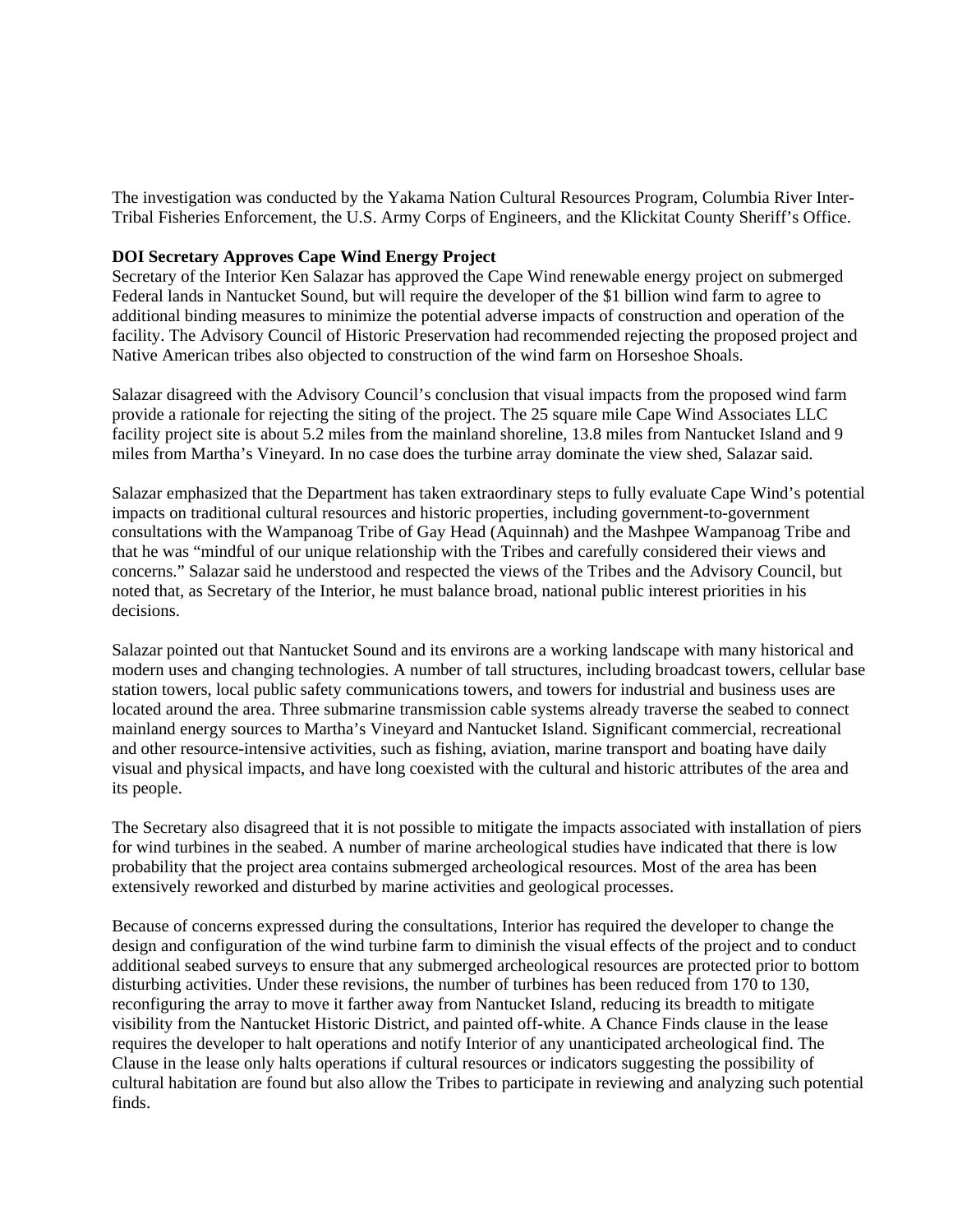The investigation was conducted by the Yakama Nation Cultural Resources Program, Columbia River Inter-Tribal Fisheries Enforcement, the U.S. Army Corps of Engineers, and the Klickitat County Sheriff's Office.

#### **DOI Secretary Approves Cape Wind Energy Project**

Secretary of the Interior Ken Salazar has approved the Cape Wind renewable energy project on submerged Federal lands in Nantucket Sound, but will require the developer of the \$1 billion wind farm to agree to additional binding measures to minimize the potential adverse impacts of construction and operation of the facility. The Advisory Council of Historic Preservation had recommended rejecting the proposed project and Native American tribes also objected to construction of the wind farm on Horseshoe Shoals.

Salazar disagreed with the Advisory Council's conclusion that visual impacts from the proposed wind farm provide a rationale for rejecting the siting of the project. The 25 square mile Cape Wind Associates LLC facility project site is about 5.2 miles from the mainland shoreline, 13.8 miles from Nantucket Island and 9 miles from Martha's Vineyard. In no case does the turbine array dominate the view shed, Salazar said.

Salazar emphasized that the Department has taken extraordinary steps to fully evaluate Cape Wind's potential impacts on traditional cultural resources and historic properties, including government-to-government consultations with the Wampanoag Tribe of Gay Head (Aquinnah) and the Mashpee Wampanoag Tribe and that he was "mindful of our unique relationship with the Tribes and carefully considered their views and concerns." Salazar said he understood and respected the views of the Tribes and the Advisory Council, but noted that, as Secretary of the Interior, he must balance broad, national public interest priorities in his decisions.

Salazar pointed out that Nantucket Sound and its environs are a working landscape with many historical and modern uses and changing technologies. A number of tall structures, including broadcast towers, cellular base station towers, local public safety communications towers, and towers for industrial and business uses are located around the area. Three submarine transmission cable systems already traverse the seabed to connect mainland energy sources to Martha's Vineyard and Nantucket Island. Significant commercial, recreational and other resource-intensive activities, such as fishing, aviation, marine transport and boating have daily visual and physical impacts, and have long coexisted with the cultural and historic attributes of the area and its people.

The Secretary also disagreed that it is not possible to mitigate the impacts associated with installation of piers for wind turbines in the seabed. A number of marine archeological studies have indicated that there is low probability that the project area contains submerged archeological resources. Most of the area has been extensively reworked and disturbed by marine activities and geological processes.

Because of concerns expressed during the consultations, Interior has required the developer to change the design and configuration of the wind turbine farm to diminish the visual effects of the project and to conduct additional seabed surveys to ensure that any submerged archeological resources are protected prior to bottom disturbing activities. Under these revisions, the number of turbines has been reduced from 170 to 130, reconfiguring the array to move it farther away from Nantucket Island, reducing its breadth to mitigate visibility from the Nantucket Historic District, and painted off-white. A Chance Finds clause in the lease requires the developer to halt operations and notify Interior of any unanticipated archeological find. The Clause in the lease only halts operations if cultural resources or indicators suggesting the possibility of cultural habitation are found but also allow the Tribes to participate in reviewing and analyzing such potential finds.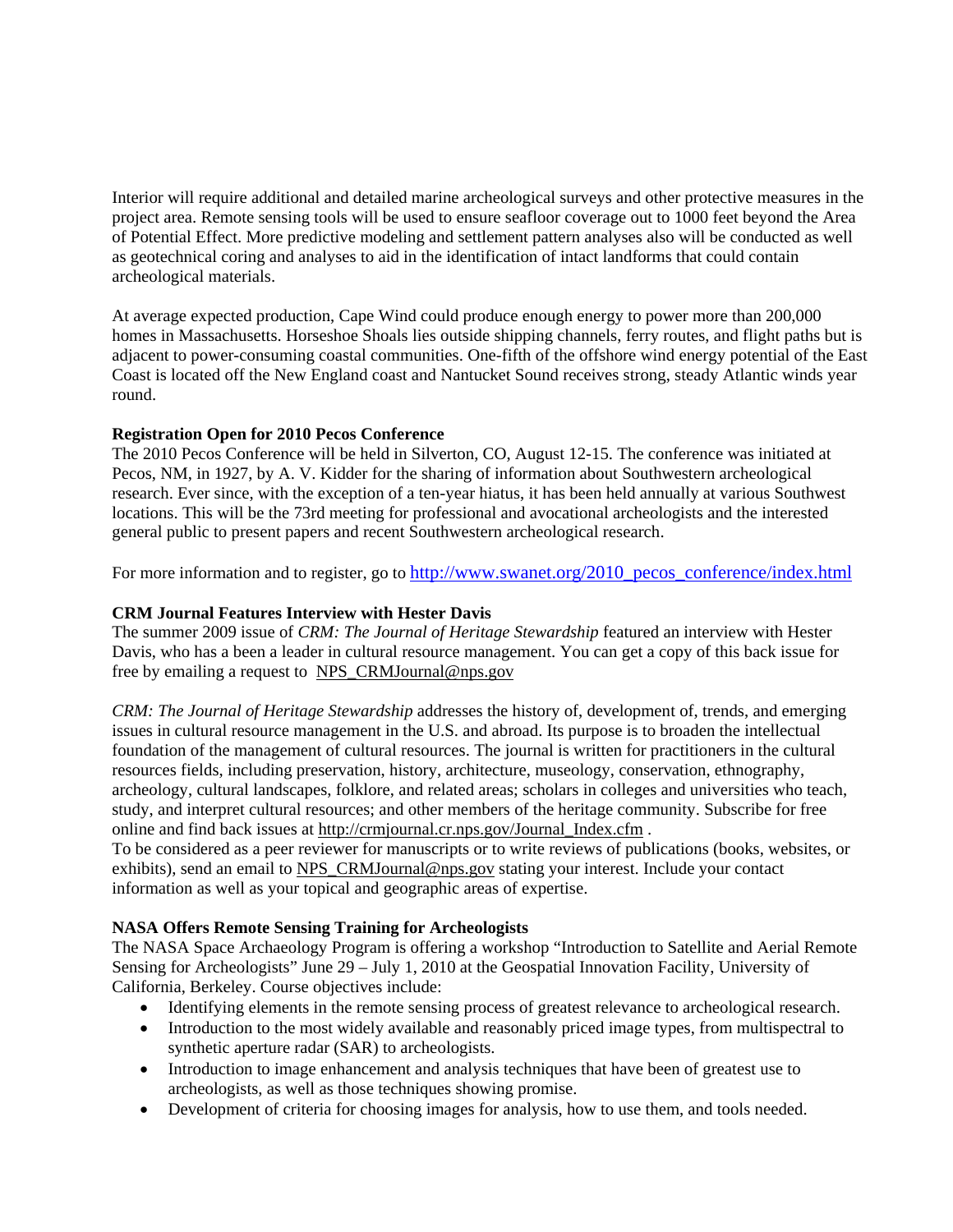Interior will require additional and detailed marine archeological surveys and other protective measures in the project area. Remote sensing tools will be used to ensure seafloor coverage out to 1000 feet beyond the Area of Potential Effect. More predictive modeling and settlement pattern analyses also will be conducted as well as geotechnical coring and analyses to aid in the identification of intact landforms that could contain archeological materials.

At average expected production, Cape Wind could produce enough energy to power more than 200,000 homes in Massachusetts. Horseshoe Shoals lies outside shipping channels, ferry routes, and flight paths but is adjacent to power-consuming coastal communities. One-fifth of the offshore wind energy potential of the East Coast is located off the New England coast and Nantucket Sound receives strong, steady Atlantic winds year round.

# **Registration Open for 2010 Pecos Conference**

The 2010 Pecos Conference will be held in Silverton, CO, August 12-15. The conference was initiated at Pecos, NM, in 1927, by A. V. Kidder for the sharing of information about Southwestern archeological research. Ever since, with the exception of a ten-year hiatus, it has been held annually at various Southwest locations. This will be the 73rd meeting for professional and avocational archeologists and the interested general public to present papers and recent Southwestern archeological research.

For more information and to register, go to http://www.swanet.org/2010\_pecos\_conference/index.html

## **CRM Journal Features Interview with Hester Davis**

The summer 2009 issue of *CRM: The Journal of Heritage Stewardship* featured an interview with Hester Davis, who has a been a leader in cultural resource management. You can get a copy of this back issue for free by emailing a request to NPS\_CRMJournal@nps.gov

*CRM: The Journal of Heritage Stewardship* addresses the history of, development of, trends, and emerging issues in cultural resource management in the U.S. and abroad. Its purpose is to broaden the intellectual foundation of the management of cultural resources. The journal is written for practitioners in the cultural resources fields, including preservation, history, architecture, museology, conservation, ethnography, archeology, cultural landscapes, folklore, and related areas; scholars in colleges and universities who teach, study, and interpret cultural resources; and other members of the heritage community. Subscribe for free online and find back issues at http://crmjournal.cr.nps.gov/Journal\_Index.cfm .

To be considered as a peer reviewer for manuscripts or to write reviews of publications (books, websites, or exhibits), send an email to NPS\_CRMJournal@nps.gov stating your interest. Include your contact information as well as your topical and geographic areas of expertise.

### **NASA Offers Remote Sensing Training for Archeologists**

The NASA Space Archaeology Program is offering a workshop "Introduction to Satellite and Aerial Remote Sensing for Archeologists" June 29 – July 1, 2010 at the Geospatial Innovation Facility, University of California, Berkeley. Course objectives include:

- Identifying elements in the remote sensing process of greatest relevance to archeological research.
- Introduction to the most widely available and reasonably priced image types, from multispectral to synthetic aperture radar (SAR) to archeologists.
- Introduction to image enhancement and analysis techniques that have been of greatest use to archeologists, as well as those techniques showing promise.
- Development of criteria for choosing images for analysis, how to use them, and tools needed.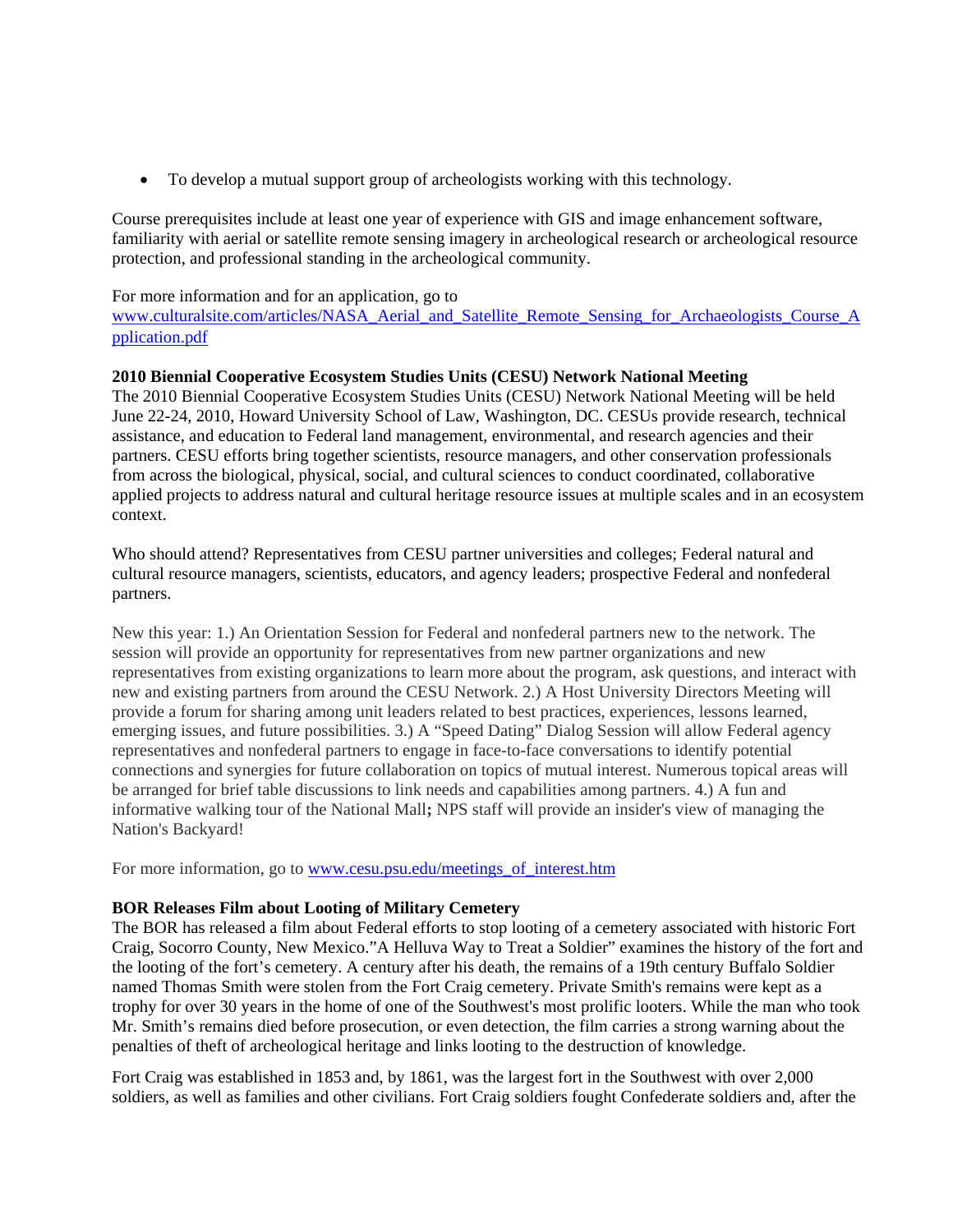• To develop a mutual support group of archeologists working with this technology.

Course prerequisites include at least one year of experience with GIS and image enhancement software, familiarity with aerial or satellite remote sensing imagery in archeological research or archeological resource protection, and professional standing in the archeological community.

For more information and for an application, go to

www.culturalsite.com/articles/NASA\_Aerial\_and\_Satellite\_Remote\_Sensing\_for\_Archaeologists\_Course\_A pplication.pdf

### **2010 Biennial Cooperative Ecosystem Studies Units (CESU) Network National Meeting**

The 2010 Biennial Cooperative Ecosystem Studies Units (CESU) Network National Meeting will be held June 22-24, 2010, Howard University School of Law, Washington, DC. CESUs provide research, technical assistance, and education to Federal land management, environmental, and research agencies and their partners. CESU efforts bring together scientists, resource managers, and other conservation professionals from across the biological, physical, social, and cultural sciences to conduct coordinated, collaborative applied projects to address natural and cultural heritage resource issues at multiple scales and in an ecosystem context.

Who should attend? Representatives from CESU partner universities and colleges; Federal natural and cultural resource managers, scientists, educators, and agency leaders; prospective Federal and nonfederal partners.

New this year: 1.) An Orientation Session for Federal and nonfederal partners new to the network. The session will provide an opportunity for representatives from new partner organizations and new representatives from existing organizations to learn more about the program, ask questions, and interact with new and existing partners from around the CESU Network. 2.) A Host University Directors Meeting will provide a forum for sharing among unit leaders related to best practices, experiences, lessons learned, emerging issues, and future possibilities. 3.) A "Speed Dating" Dialog Session will allow Federal agency representatives and nonfederal partners to engage in face-to-face conversations to identify potential connections and synergies for future collaboration on topics of mutual interest. Numerous topical areas will be arranged for brief table discussions to link needs and capabilities among partners. 4.) A fun and informative walking tour of the National Mall**;** NPS staff will provide an insider's view of managing the Nation's Backyard!

For more information, go to www.cesu.psu.edu/meetings\_of\_interest.htm

### **BOR Releases Film about Looting of Military Cemetery**

The BOR has released a film about Federal efforts to stop looting of a cemetery associated with historic Fort Craig, Socorro County, New Mexico."A Helluva Way to Treat a Soldier" examines the history of the fort and the looting of the fort's cemetery. A century after his death, the remains of a 19th century Buffalo Soldier named Thomas Smith were stolen from the Fort Craig cemetery. Private Smith's remains were kept as a trophy for over 30 years in the home of one of the Southwest's most prolific looters. While the man who took Mr. Smith's remains died before prosecution, or even detection, the film carries a strong warning about the penalties of theft of archeological heritage and links looting to the destruction of knowledge.

Fort Craig was established in 1853 and, by 1861, was the largest fort in the Southwest with over 2,000 soldiers, as well as families and other civilians. Fort Craig soldiers fought Confederate soldiers and, after the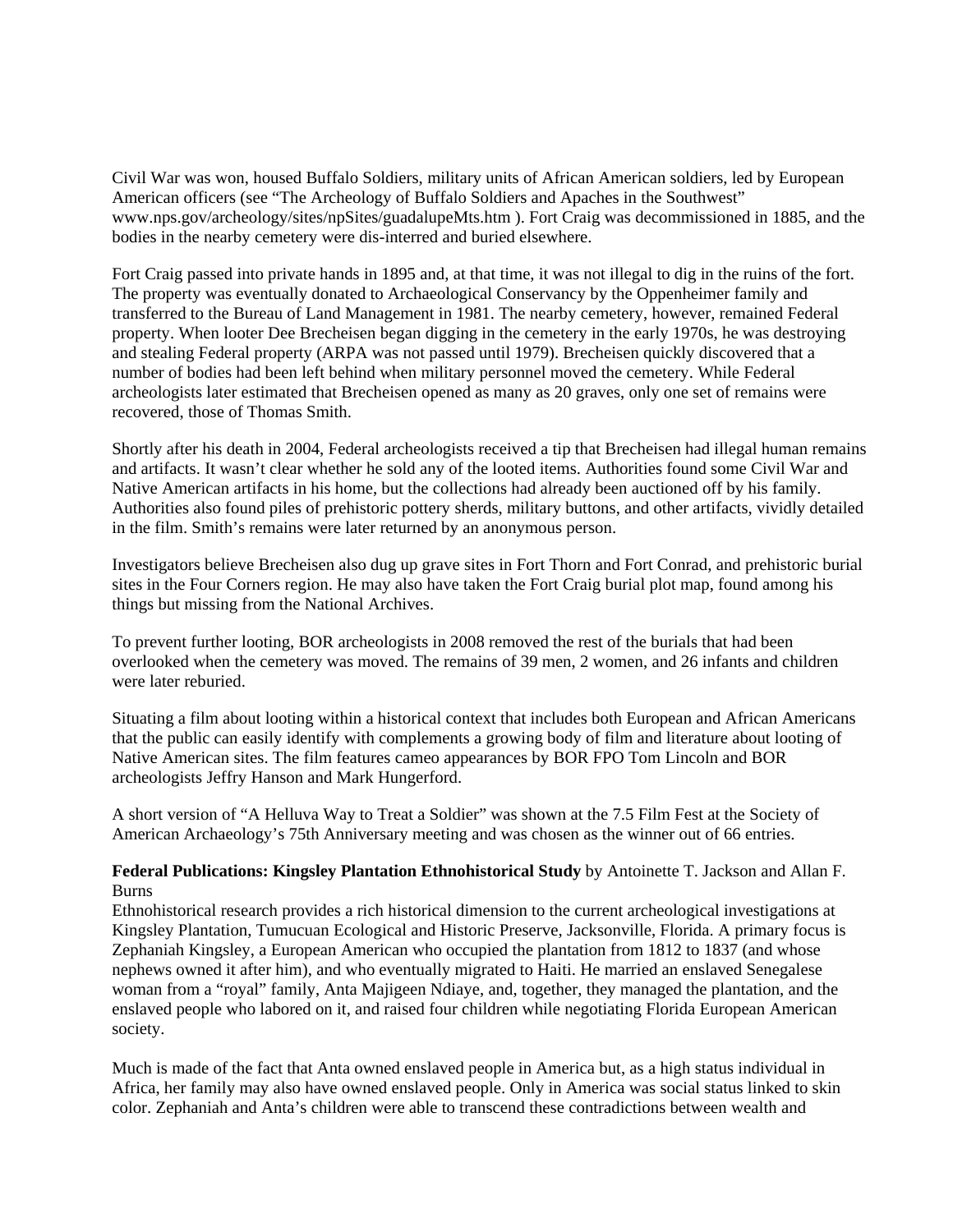Civil War was won, housed Buffalo Soldiers, military units of African American soldiers, led by European American officers (see "The Archeology of Buffalo Soldiers and Apaches in the Southwest" www.nps.gov/archeology/sites/npSites/guadalupeMts.htm ). Fort Craig was decommissioned in 1885, and the bodies in the nearby cemetery were dis-interred and buried elsewhere.

Fort Craig passed into private hands in 1895 and, at that time, it was not illegal to dig in the ruins of the fort. The property was eventually donated to Archaeological Conservancy by the Oppenheimer family and transferred to the Bureau of Land Management in 1981. The nearby cemetery, however, remained Federal property. When looter Dee Brecheisen began digging in the cemetery in the early 1970s, he was destroying and stealing Federal property (ARPA was not passed until 1979). Brecheisen quickly discovered that a number of bodies had been left behind when military personnel moved the cemetery. While Federal archeologists later estimated that Brecheisen opened as many as 20 graves, only one set of remains were recovered, those of Thomas Smith.

Shortly after his death in 2004, Federal archeologists received a tip that Brecheisen had illegal human remains and artifacts. It wasn't clear whether he sold any of the looted items. Authorities found some Civil War and Native American artifacts in his home, but the collections had already been auctioned off by his family. Authorities also found piles of prehistoric pottery sherds, military buttons, and other artifacts, vividly detailed in the film. Smith's remains were later returned by an anonymous person.

Investigators believe Brecheisen also dug up grave sites in Fort Thorn and Fort Conrad, and prehistoric burial sites in the Four Corners region. He may also have taken the Fort Craig burial plot map, found among his things but missing from the National Archives.

To prevent further looting, BOR archeologists in 2008 removed the rest of the burials that had been overlooked when the cemetery was moved. The remains of 39 men, 2 women, and 26 infants and children were later reburied.

Situating a film about looting within a historical context that includes both European and African Americans that the public can easily identify with complements a growing body of film and literature about looting of Native American sites. The film features cameo appearances by BOR FPO Tom Lincoln and BOR archeologists Jeffry Hanson and Mark Hungerford.

A short version of "A Helluva Way to Treat a Soldier" was shown at the 7.5 Film Fest at the Society of American Archaeology's 75th Anniversary meeting and was chosen as the winner out of 66 entries.

### **Federal Publications: Kingsley Plantation Ethnohistorical Study** by Antoinette T. Jackson and Allan F. Burns

Ethnohistorical research provides a rich historical dimension to the current archeological investigations at Kingsley Plantation, Tumucuan Ecological and Historic Preserve, Jacksonville, Florida. A primary focus is Zephaniah Kingsley, a European American who occupied the plantation from 1812 to 1837 (and whose nephews owned it after him), and who eventually migrated to Haiti. He married an enslaved Senegalese woman from a "royal" family, Anta Majigeen Ndiaye, and, together, they managed the plantation, and the enslaved people who labored on it, and raised four children while negotiating Florida European American society.

Much is made of the fact that Anta owned enslaved people in America but, as a high status individual in Africa, her family may also have owned enslaved people. Only in America was social status linked to skin color. Zephaniah and Anta's children were able to transcend these contradictions between wealth and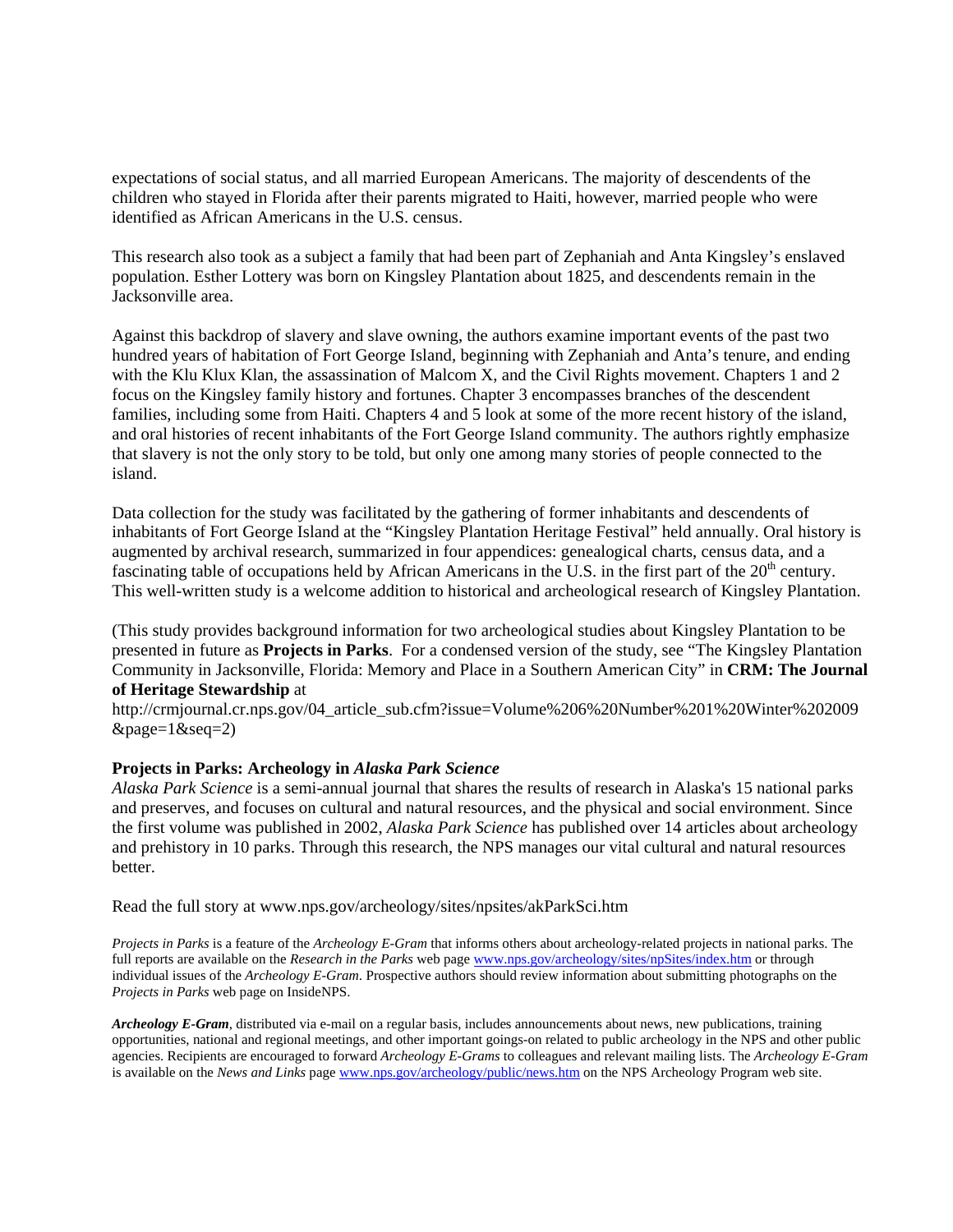expectations of social status, and all married European Americans. The majority of descendents of the children who stayed in Florida after their parents migrated to Haiti, however, married people who were identified as African Americans in the U.S. census.

This research also took as a subject a family that had been part of Zephaniah and Anta Kingsley's enslaved population. Esther Lottery was born on Kingsley Plantation about 1825, and descendents remain in the Jacksonville area.

Against this backdrop of slavery and slave owning, the authors examine important events of the past two hundred years of habitation of Fort George Island, beginning with Zephaniah and Anta's tenure, and ending with the Klu Klux Klan, the assassination of Malcom X, and the Civil Rights movement. Chapters 1 and 2 focus on the Kingsley family history and fortunes. Chapter 3 encompasses branches of the descendent families, including some from Haiti. Chapters 4 and 5 look at some of the more recent history of the island, and oral histories of recent inhabitants of the Fort George Island community. The authors rightly emphasize that slavery is not the only story to be told, but only one among many stories of people connected to the island.

Data collection for the study was facilitated by the gathering of former inhabitants and descendents of inhabitants of Fort George Island at the "Kingsley Plantation Heritage Festival" held annually. Oral history is augmented by archival research, summarized in four appendices: genealogical charts, census data, and a fascinating table of occupations held by African Americans in the U.S. in the first part of the  $20<sup>th</sup>$  century. This well-written study is a welcome addition to historical and archeological research of Kingsley Plantation.

(This study provides background information for two archeological studies about Kingsley Plantation to be presented in future as **Projects in Parks**. For a condensed version of the study, see "The Kingsley Plantation Community in Jacksonville, Florida: Memory and Place in a Southern American City" in **CRM: The Journal of Heritage Stewardship** at

http://crmjournal.cr.nps.gov/04\_article\_sub.cfm?issue=Volume%206%20Number%201%20Winter%202009  $\&$ page=1 $\&$ seq=2)

#### **Projects in Parks: Archeology in** *Alaska Park Science*

*Alaska Park Science* is a semi-annual journal that shares the results of research in Alaska's 15 national parks and preserves, and focuses on cultural and natural resources, and the physical and social environment. Since the first volume was published in 2002, *Alaska Park Science* has published over 14 articles about archeology and prehistory in 10 parks. Through this research, the NPS manages our vital cultural and natural resources better.

Read the full story at www.nps.gov/archeology/sites/npsites/akParkSci.htm

*Projects in Parks* is a feature of the *Archeology E-Gram* that informs others about archeology-related projects in national parks. The full reports are available on the *Research in the Parks* web page www.nps.gov/archeology/sites/npSites/index.htm or through individual issues of the *Archeology E-Gram*. Prospective authors should review information about submitting photographs on the *Projects in Parks* web page on InsideNPS.

*Archeology E-Gram*, distributed via e-mail on a regular basis, includes announcements about news, new publications, training opportunities, national and regional meetings, and other important goings-on related to public archeology in the NPS and other public agencies. Recipients are encouraged to forward *Archeology E-Grams* to colleagues and relevant mailing lists. The *Archeology E-Gram* is available on the *News and Links* page www.nps.gov/archeology/public/news.htm on the NPS Archeology Program web site.